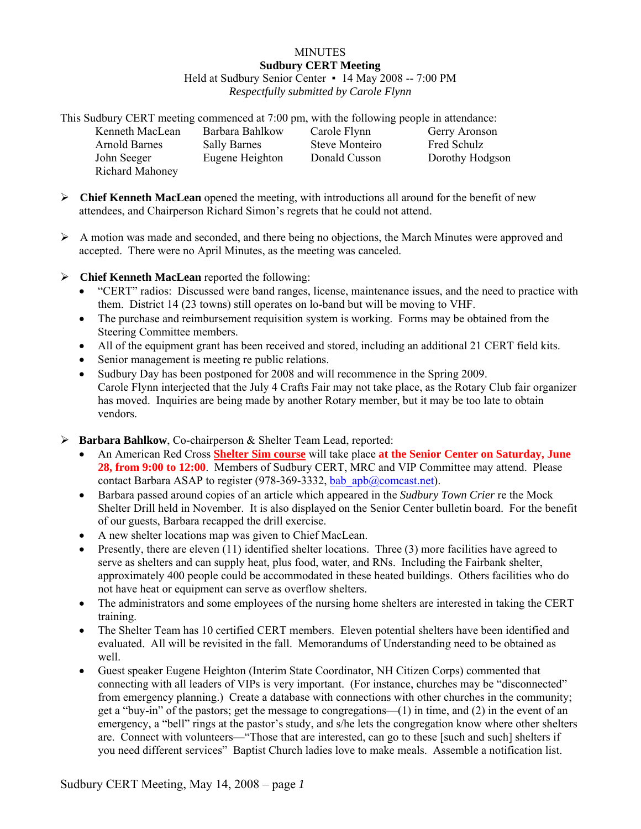## **MINUTES Sudbury CERT Meeting**  Held at Sudbury Senior Center • 14 May 2008 -- 7:00 PM *Respectfully submitted by Carole Flynn*

This Sudbury CERT meeting commenced at 7:00 pm, with the following people in attendance: Kenneth MacLean Barbara Bahlkow Carole Flynn Gerry Aronson Arnold Barnes Sally Barnes Steve Monteiro Fred Schulz<br>
John Seeger Eugene Heighton Donald Cusson Dorothy Hoc Eugene Heighton Donald Cusson Dorothy Hodgson Richard Mahoney

- ¾ **Chief Kenneth MacLean** opened the meeting, with introductions all around for the benefit of new attendees, and Chairperson Richard Simon's regrets that he could not attend.
- $\triangleright$  A motion was made and seconded, and there being no objections, the March Minutes were approved and accepted. There were no April Minutes, as the meeting was canceled.
- ¾ **Chief Kenneth MacLean** reported the following:
	- "CERT" radios: Discussed were band ranges, license, maintenance issues, and the need to practice with them. District 14 (23 towns) still operates on lo-band but will be moving to VHF.
	- The purchase and reimbursement requisition system is working. Forms may be obtained from the Steering Committee members.
	- All of the equipment grant has been received and stored, including an additional 21 CERT field kits.
	- Senior management is meeting re public relations.
	- Sudbury Day has been postponed for 2008 and will recommence in the Spring 2009. Carole Flynn interjected that the July 4 Crafts Fair may not take place, as the Rotary Club fair organizer has moved. Inquiries are being made by another Rotary member, but it may be too late to obtain vendors.
- ¾ **Barbara Bahlkow**, Co-chairperson & Shelter Team Lead, reported:
	- An American Red Cross **Shelter Sim course** will take place **at the Senior Center on Saturday, June 28, from 9:00 to 12:00**. Members of Sudbury CERT, MRC and VIP Committee may attend. Please contact Barbara ASAP to register (978-369-3332, [bab\\_apb@comcast.net\)](mailto:bab_apb@comcast.net).
	- Barbara passed around copies of an article which appeared in the *Sudbury Town Crier* re the Mock Shelter Drill held in November. It is also displayed on the Senior Center bulletin board. For the benefit of our guests, Barbara recapped the drill exercise.
	- A new shelter locations map was given to Chief MacLean.
	- Presently, there are eleven  $(11)$  identified shelter locations. Three  $(3)$  more facilities have agreed to serve as shelters and can supply heat, plus food, water, and RNs. Including the Fairbank shelter, approximately 400 people could be accommodated in these heated buildings. Others facilities who do not have heat or equipment can serve as overflow shelters.
	- The administrators and some employees of the nursing home shelters are interested in taking the CERT training.
	- The Shelter Team has 10 certified CERT members. Eleven potential shelters have been identified and evaluated. All will be revisited in the fall. Memorandums of Understanding need to be obtained as well.
	- Guest speaker Eugene Heighton (Interim State Coordinator, NH Citizen Corps) commented that connecting with all leaders of VIPs is very important. (For instance, churches may be "disconnected" from emergency planning.) Create a database with connections with other churches in the community; get a "buy-in" of the pastors; get the message to congregations—(1) in time, and (2) in the event of an emergency, a "bell" rings at the pastor's study, and s/he lets the congregation know where other shelters are. Connect with volunteers—"Those that are interested, can go to these [such and such] shelters if you need different services" Baptist Church ladies love to make meals. Assemble a notification list.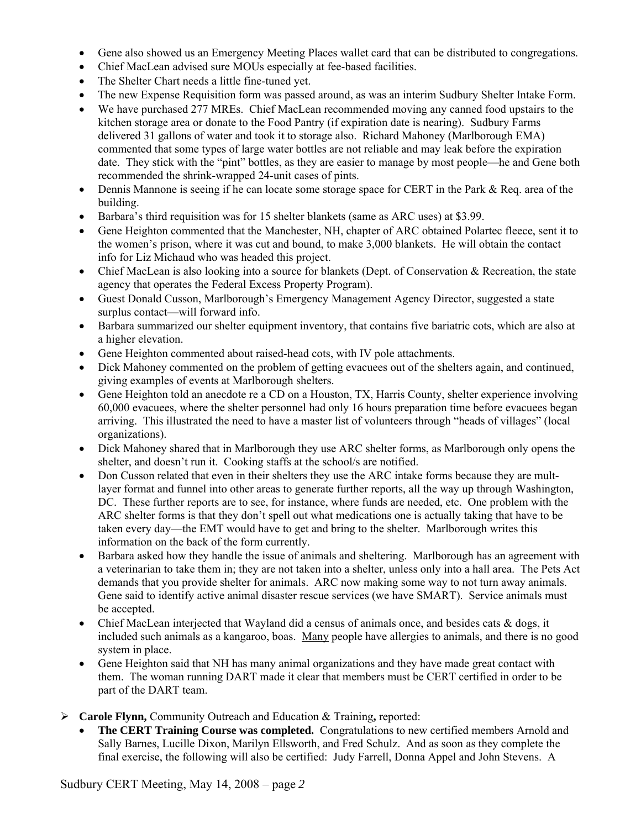- Gene also showed us an Emergency Meeting Places wallet card that can be distributed to congregations.
- Chief MacLean advised sure MOUs especially at fee-based facilities.
- The Shelter Chart needs a little fine-tuned yet.
- The new Expense Requisition form was passed around, as was an interim Sudbury Shelter Intake Form.
- We have purchased 277 MREs. Chief MacLean recommended moving any canned food upstairs to the kitchen storage area or donate to the Food Pantry (if expiration date is nearing). Sudbury Farms delivered 31 gallons of water and took it to storage also. Richard Mahoney (Marlborough EMA) commented that some types of large water bottles are not reliable and may leak before the expiration date. They stick with the "pint" bottles, as they are easier to manage by most people—he and Gene both recommended the shrink-wrapped 24-unit cases of pints.
- Dennis Mannone is seeing if he can locate some storage space for CERT in the Park & Req. area of the building.
- Barbara's third requisition was for 15 shelter blankets (same as ARC uses) at \$3.99.
- Gene Heighton commented that the Manchester, NH, chapter of ARC obtained Polartec fleece, sent it to the women's prison, where it was cut and bound, to make 3,000 blankets. He will obtain the contact info for Liz Michaud who was headed this project.
- Chief MacLean is also looking into a source for blankets (Dept. of Conservation & Recreation, the state agency that operates the Federal Excess Property Program).
- Guest Donald Cusson, Marlborough's Emergency Management Agency Director, suggested a state surplus contact—will forward info.
- Barbara summarized our shelter equipment inventory, that contains five bariatric cots, which are also at a higher elevation.
- Gene Heighton commented about raised-head cots, with IV pole attachments.
- Dick Mahoney commented on the problem of getting evacuees out of the shelters again, and continued, giving examples of events at Marlborough shelters.
- Gene Heighton told an anecdote re a CD on a Houston, TX, Harris County, shelter experience involving 60,000 evacuees, where the shelter personnel had only 16 hours preparation time before evacuees began arriving. This illustrated the need to have a master list of volunteers through "heads of villages" (local organizations).
- Dick Mahoney shared that in Marlborough they use ARC shelter forms, as Marlborough only opens the shelter, and doesn't run it. Cooking staffs at the school/s are notified.
- Don Cusson related that even in their shelters they use the ARC intake forms because they are multlayer format and funnel into other areas to generate further reports, all the way up through Washington, DC. These further reports are to see, for instance, where funds are needed, etc. One problem with the ARC shelter forms is that they don't spell out what medications one is actually taking that have to be taken every day—the EMT would have to get and bring to the shelter. Marlborough writes this information on the back of the form currently.
- Barbara asked how they handle the issue of animals and sheltering. Marlborough has an agreement with a veterinarian to take them in; they are not taken into a shelter, unless only into a hall area. The Pets Act demands that you provide shelter for animals. ARC now making some way to not turn away animals. Gene said to identify active animal disaster rescue services (we have SMART). Service animals must be accepted.
- Chief MacLean interjected that Wayland did a census of animals once, and besides cats & dogs, it included such animals as a kangaroo, boas. Many people have allergies to animals, and there is no good system in place.
- Gene Heighton said that NH has many animal organizations and they have made great contact with them. The woman running DART made it clear that members must be CERT certified in order to be part of the DART team.
- ¾ **Carole Flynn,** Community Outreach and Education & Training**,** reported:
	- **The CERT Training Course was completed.** Congratulations to new certified members Arnold and Sally Barnes, Lucille Dixon, Marilyn Ellsworth, and Fred Schulz. And as soon as they complete the final exercise, the following will also be certified: Judy Farrell, Donna Appel and John Stevens. A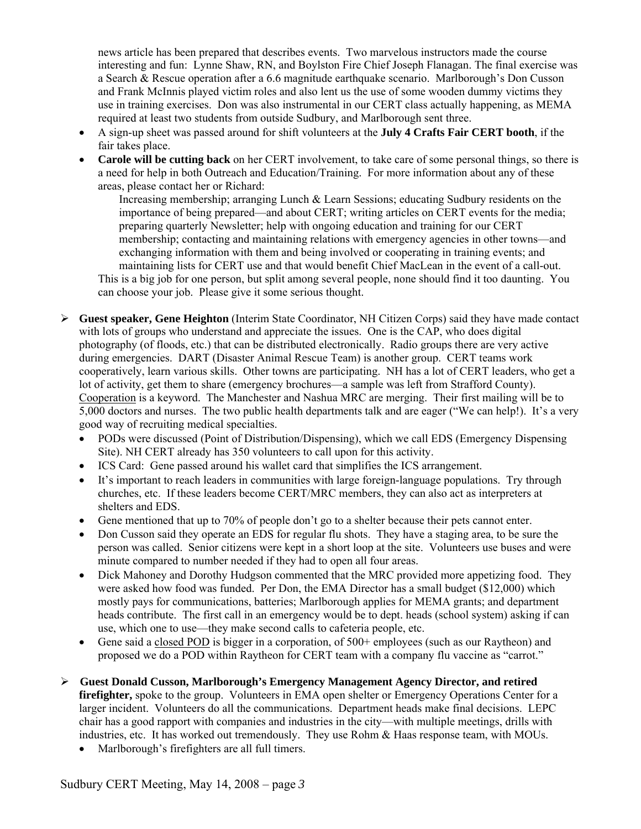news article has been prepared that describes events. Two marvelous instructors made the course interesting and fun: Lynne Shaw, RN, and Boylston Fire Chief Joseph Flanagan. The final exercise was a Search & Rescue operation after a 6.6 magnitude earthquake scenario. Marlborough's Don Cusson and Frank McInnis played victim roles and also lent us the use of some wooden dummy victims they use in training exercises. Don was also instrumental in our CERT class actually happening, as MEMA required at least two students from outside Sudbury, and Marlborough sent three.

- A sign-up sheet was passed around for shift volunteers at the **July 4 Crafts Fair CERT booth**, if the fair takes place.
- **Carole will be cutting back** on her CERT involvement, to take care of some personal things, so there is a need for help in both Outreach and Education/Training. For more information about any of these areas, please contact her or Richard:

Increasing membership; arranging Lunch & Learn Sessions; educating Sudbury residents on the importance of being prepared—and about CERT; writing articles on CERT events for the media; preparing quarterly Newsletter; help with ongoing education and training for our CERT membership; contacting and maintaining relations with emergency agencies in other towns—and exchanging information with them and being involved or cooperating in training events; and maintaining lists for CERT use and that would benefit Chief MacLean in the event of a call-out. This is a big job for one person, but split among several people, none should find it too daunting. You can choose your job. Please give it some serious thought.

- ¾ **Guest speaker, Gene Heighton** (Interim State Coordinator, NH Citizen Corps) said they have made contact with lots of groups who understand and appreciate the issues. One is the CAP, who does digital photography (of floods, etc.) that can be distributed electronically. Radio groups there are very active during emergencies. DART (Disaster Animal Rescue Team) is another group. CERT teams work cooperatively, learn various skills. Other towns are participating. NH has a lot of CERT leaders, who get a lot of activity, get them to share (emergency brochures—a sample was left from Strafford County). Cooperation is a keyword. The Manchester and Nashua MRC are merging. Their first mailing will be to 5,000 doctors and nurses. The two public health departments talk and are eager ("We can help!). It's a very good way of recruiting medical specialties.
	- PODs were discussed (Point of Distribution/Dispensing), which we call EDS (Emergency Dispensing Site). NH CERT already has 350 volunteers to call upon for this activity.
	- ICS Card: Gene passed around his wallet card that simplifies the ICS arrangement.
	- It's important to reach leaders in communities with large foreign-language populations. Try through churches, etc. If these leaders become CERT/MRC members, they can also act as interpreters at shelters and EDS.
	- Gene mentioned that up to 70% of people don't go to a shelter because their pets cannot enter.
	- Don Cusson said they operate an EDS for regular flu shots. They have a staging area, to be sure the person was called. Senior citizens were kept in a short loop at the site. Volunteers use buses and were minute compared to number needed if they had to open all four areas.
	- Dick Mahoney and Dorothy Hudgson commented that the MRC provided more appetizing food. They were asked how food was funded. Per Don, the EMA Director has a small budget (\$12,000) which mostly pays for communications, batteries; Marlborough applies for MEMA grants; and department heads contribute. The first call in an emergency would be to dept. heads (school system) asking if can use, which one to use—they make second calls to cafeteria people, etc.
	- Gene said a closed POD is bigger in a corporation, of 500+ employees (such as our Raytheon) and proposed we do a POD within Raytheon for CERT team with a company flu vaccine as "carrot."
- ¾ **Guest Donald Cusson, Marlborough's Emergency Management Agency Director, and retired**  firefighter, spoke to the group. Volunteers in EMA open shelter or Emergency Operations Center for a larger incident. Volunteers do all the communications. Department heads make final decisions. LEPC chair has a good rapport with companies and industries in the city—with multiple meetings, drills with industries, etc. It has worked out tremendously. They use Rohm & Haas response team, with MOUs.
	- Marlborough's firefighters are all full timers.